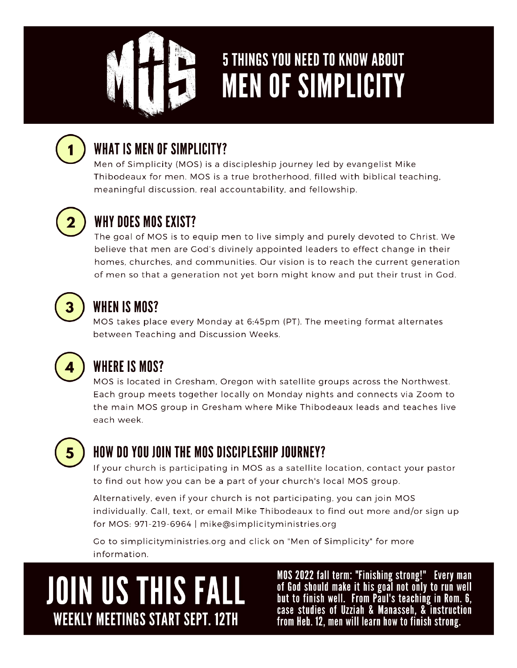

## **5 THINGS YOU NEED TO KNOW ABOUT MEN OF SIMPLICITY**



## WHAT IS MEN OF SIMPLICITY?

Men of Simplicity (MOS) is a discipleship journey led by evangelist Mike Thibodeaux for men. MOS is a true brotherhood, filled with biblical teaching, meaningful discussion, real accountability, and fellowship.



### WHY DOES MOS EXIST?

The goal of MOS is to equip men to live simply and purely devoted to Christ. We believe that men are God's divinely appointed leaders to effect change in their homes, churches, and communities. Our vision is to reach the current generation of men so that a generation not yet born might know and put their trust in God.



### WHEN IS MOS?

MOS takes place every Monday at 6:45pm (PT). The meeting format alternates between Teaching and Discussion Weeks.



## **WHERE IS MOS?**

MOS is located in Gresham, Oregon with satellite groups across the Northwest. Each group meets together locally on Monday nights and connects via Zoom to the main MOS group in Gresham where Mike Thibodeaux leads and teaches live each week.



### HOW DO YOU JOIN THE MOS DISCIPLESHIP JOURNEY?

If your church is participating in MOS as a satellite location, contact your pastor to find out how you can be a part of your church's local MOS group.

Alternatively, even if your church is not participating, you can join MOS individually. Call, text, or email Mike Thibodeaux to find out more and/or sign up for MOS: 971-219-6964 | mike@simplicityministries.org

Go to simplicityministries.org and click on "Men of Simplicity" for more information.

# **JOIN US THIS FALL WEEKLY MEETINGS START SEPT. 12TH**

MOS 2022 fall term: "Finishing strong!" Every man of God should make it his goal not only to run well<br>but to finish well. From Paul's teaching in Rom. 6,<br>case studies of Uzziah & Manasseh, & instruction from Heb. 12, men will learn how to finish strong.